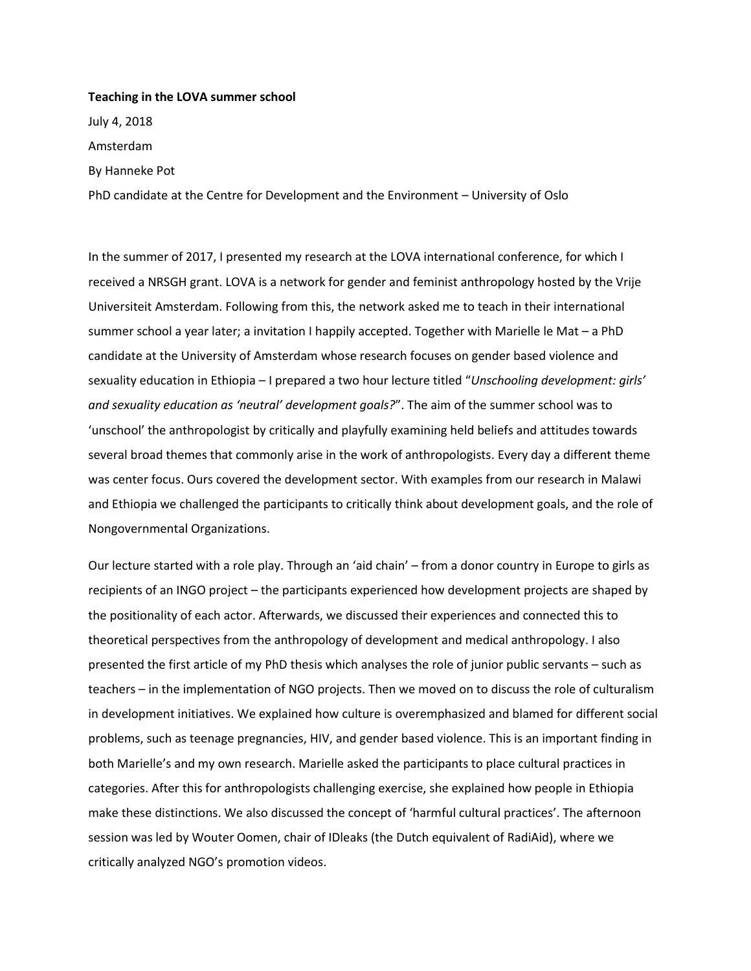## **Teaching in the LOVA summer school**

July 4, 2018 Amsterdam By Hanneke Pot

PhD candidate at the Centre for Development and the Environment – University of Oslo

In the summer of 2017, I presented my research at the LOVA international conference, for which I received a NRSGH grant. LOVA is a network for gender and feminist anthropology hosted by the Vrije Universiteit Amsterdam. Following from this, the network asked me to teach in their international summer school a year later; a invitation I happily accepted. Together with Marielle le Mat – a PhD candidate at the University of Amsterdam whose research focuses on gender based violence and sexuality education in Ethiopia – I prepared a two hour lecture titled "*Unschooling development: girls' and sexuality education as 'neutral' development goals?*". The aim of the summer school was to 'unschool' the anthropologist by critically and playfully examining held beliefs and attitudes towards several broad themes that commonly arise in the work of anthropologists. Every day a different theme was center focus. Ours covered the development sector. With examples from our research in Malawi and Ethiopia we challenged the participants to critically think about development goals, and the role of Nongovernmental Organizations.

Our lecture started with a role play. Through an 'aid chain' – from a donor country in Europe to girls as recipients of an INGO project – the participants experienced how development projects are shaped by the positionality of each actor. Afterwards, we discussed their experiences and connected this to theoretical perspectives from the anthropology of development and medical anthropology. I also presented the first article of my PhD thesis which analyses the role of junior public servants – such as teachers – in the implementation of NGO projects. Then we moved on to discuss the role of culturalism in development initiatives. We explained how culture is overemphasized and blamed for different social problems, such as teenage pregnancies, HIV, and gender based violence. This is an important finding in both Marielle's and my own research. Marielle asked the participants to place cultural practices in categories. After this for anthropologists challenging exercise, she explained how people in Ethiopia make these distinctions. We also discussed the concept of 'harmful cultural practices'. The afternoon session was led by Wouter Oomen, chair of IDleaks (the Dutch equivalent of RadiAid), where we critically analyzed NGO's promotion videos.